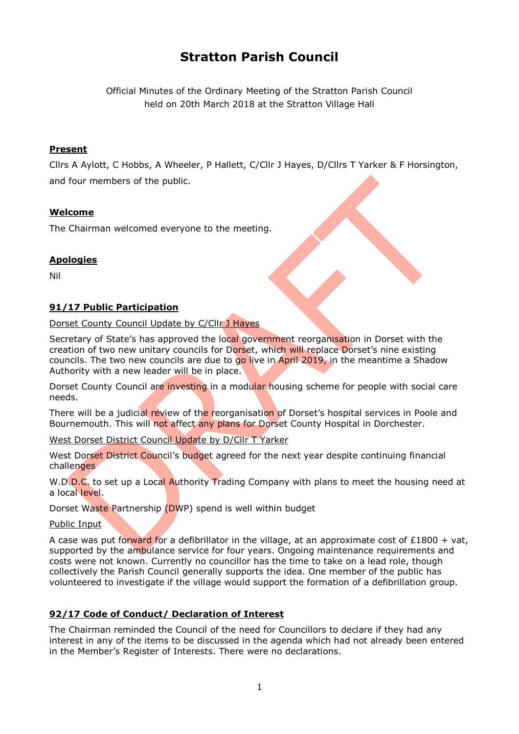# **Stratton Parish Council**

Official Minutes of the Ordinary Meeting of the Stratton Parish Council held on 20th March 2018 at the Stratton Village Hall

## **Present**

Cllrs A Aylott, C Hobbs, A Wheeler, P Hallett, C/Cllr J Hayes, D/Cllrs T Yarker & F Horsington, and four members of the public.

## **Welcome**

The Chairman welcomed everyone to the meeting.

## **Apologies**

Nil

## **91/17 Public Participation**

Dorset County Council Update by C/Cllr J Hayes

Secretary of State's has approved the local government reorganisation in Dorset with the creation of two new unitary councils for Dorset, which will replace Dorset's nine existing councils. The two new councils are due to go live in April 2019, in the meantime a Shadow Authority with a new leader will be in place.

Dorset County Council are investing in a modular housing scheme for people with social care needs.

There will be a judicial review of the reorganisation of Dorset's hospital services in Poole and Bournemouth. This will not affect any plans for Dorset County Hospital in Dorchester.

West Dorset District Council Update by D/Cllr T Yarker

West Dorset District Council's budget agreed for the next year despite continuing financial challenges

W.D.D.C. to set up a Local Authority Trading Company with plans to meet the housing need at a local level.

Dorset Waste Partnership (DWP) spend is well within budget

Public Input

A case was put forward for a defibrillator in the village, at an approximate cost of £1800 + vat, supported by the ambulance service for four years. Ongoing maintenance requirements and costs were not known. Currently no councillor has the time to take on a lead role, though collectively the Parish Council generally supports the idea. One member of the public has volunteered to investigate if the village would support the formation of a defibrillation group.

## **92/17 Code of Conduct/ Declaration of Interest**

The Chairman reminded the Council of the need for Councillors to declare if they had any interest in any of the items to be discussed in the agenda which had not already been entered in the Member's Register of Interests. There were no declarations.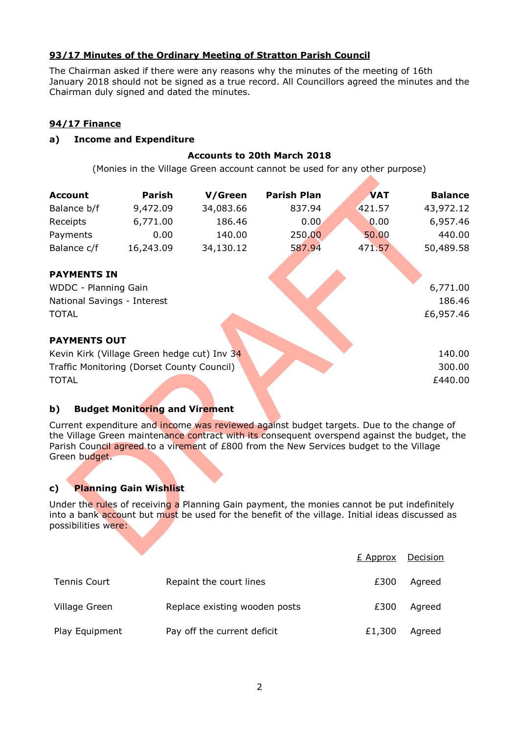## **93/17 Minutes of the Ordinary Meeting of Stratton Parish Council**

The Chairman asked if there were any reasons why the minutes of the meeting of 16th January 2018 should not be signed as a true record. All Councillors agreed the minutes and the Chairman duly signed and dated the minutes.

## **94/17 Finance**

#### **a) Income and Expenditure**

## **Accounts to 20th March 2018**

(Monies in the Village Green account cannot be used for any other purpose)

| <b>Account</b>                             | Parish                                      | V/Green   | <b>Parish Plan</b> | <b>VAT</b> | <b>Balance</b> |
|--------------------------------------------|---------------------------------------------|-----------|--------------------|------------|----------------|
| Balance b/f                                | 9,472.09                                    | 34,083.66 | 837.94             | 421.57     | 43,972.12      |
| Receipts                                   | 6,771.00                                    | 186.46    | 0.00               | 0.00       | 6,957.46       |
| Payments                                   | 0.00                                        | 140.00    | 250.00             | 50.00      | 440.00         |
| Balance c/f                                | 16,243.09                                   | 34,130.12 | 587.94             | 471.57     | 50,489.58      |
|                                            |                                             |           |                    |            |                |
| <b>PAYMENTS IN</b>                         |                                             |           |                    |            |                |
| WDDC - Planning Gain                       |                                             |           |                    |            | 6,771.00       |
| National Savings - Interest                |                                             |           |                    |            | 186.46         |
| <b>TOTAL</b>                               |                                             |           |                    |            | £6,957.46      |
|                                            |                                             |           |                    |            |                |
| <b>PAYMENTS OUT</b>                        |                                             |           |                    |            |                |
|                                            | Kevin Kirk (Village Green hedge cut) Inv 34 |           |                    |            | 140.00         |
| Traffic Monitoring (Dorset County Council) |                                             |           |                    | 300.00     |                |
| <b>TOTAL</b>                               |                                             |           |                    |            | £440.00        |
|                                            |                                             |           |                    |            |                |

#### **b) Budget Monitoring and Virement**

Current expenditure and income was reviewed against budget targets. Due to the change of the Village Green maintenance contract with its consequent overspend against the budget, the Parish Council agreed to a virement of £800 from the New Services budget to the Village Green budget.

## **c) Planning Gain Wishlist**

Under the rules of receiving a Planning Gain payment, the monies cannot be put indefinitely into a bank account but must be used for the benefit of the village. Initial ideas discussed as possibilities were:

|                     |                               | E Approx | Decision |
|---------------------|-------------------------------|----------|----------|
| <b>Tennis Court</b> | Repaint the court lines       | £300     | Agreed   |
| Village Green       | Replace existing wooden posts | £300     | Agreed   |
| Play Equipment      | Pay off the current deficit   | £1,300   | Agreed   |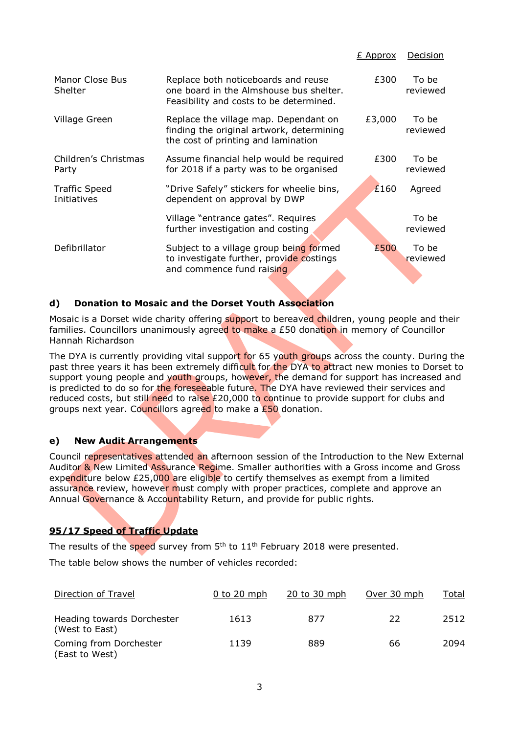|                                     |                                                                                                                           | <u>E Approx</u> | <b>Decision</b>   |
|-------------------------------------|---------------------------------------------------------------------------------------------------------------------------|-----------------|-------------------|
| Manor Close Bus<br>Shelter          | Replace both noticeboards and reuse<br>one board in the Almshouse bus shelter.<br>Feasibility and costs to be determined. | £300            | To be<br>reviewed |
| Village Green                       | Replace the village map. Dependant on<br>finding the original artwork, determining<br>the cost of printing and lamination | £3,000          | To be<br>reviewed |
| Children's Christmas<br>Party       | Assume financial help would be required<br>for 2018 if a party was to be organised                                        | £300            | To be<br>reviewed |
| <b>Traffic Speed</b><br>Initiatives | "Drive Safely" stickers for wheelie bins,<br>dependent on approval by DWP                                                 | £160            | Agreed            |
|                                     | Village "entrance gates". Requires<br>further investigation and costing                                                   |                 | To be<br>reviewed |
| Defibrillator                       | Subject to a village group being formed<br>to investigate further, provide costings<br>and commence fund raising          | £500            | To be<br>reviewed |

## **d) Donation to Mosaic and the Dorset Youth Association**

Mosaic is a Dorset wide charity offering support to bereaved children, young people and their families. Councillors unanimously agreed to make a £50 donation in memory of Councillor Hannah Richardson

The DYA is currently providing vital support for 65 youth groups across the county. During the past three years it has been extremely difficult for the DYA to attract new monies to Dorset to support young people and youth groups, however, the demand for support has increased and is predicted to do so for the foreseeable future. The DYA have reviewed their services and reduced costs, but still need to raise  $£20,000$  to continue to provide support for clubs and groups next year. Councillors agreed to make a £50 donation.

#### **e) New Audit Arrangements**

Council representatives attended an afternoon session of the Introduction to the New External Auditor & New Limited Assurance Regime. Smaller authorities with a Gross income and Gross expenditure below £25,000 are eligible to certify themselves as exempt from a limited assurance review, however must comply with proper practices, complete and approve an Annual Governance & Accountability Return, and provide for public rights.

## **95/17 Speed of Traffic Update**

The results of the speed survey from 5<sup>th</sup> to 11<sup>th</sup> February 2018 were presented.

The table below shows the number of vehicles recorded:

| Direction of Travel                          | $0$ to 20 mph | $20$ to $30$ mph | Over 30 mph | <u>Total</u> |
|----------------------------------------------|---------------|------------------|-------------|--------------|
| Heading towards Dorchester<br>(West to East) | 1613          | 877              | 22          | 2512         |
| Coming from Dorchester<br>(East to West)     | 1139          | 889              | 66          | 2094         |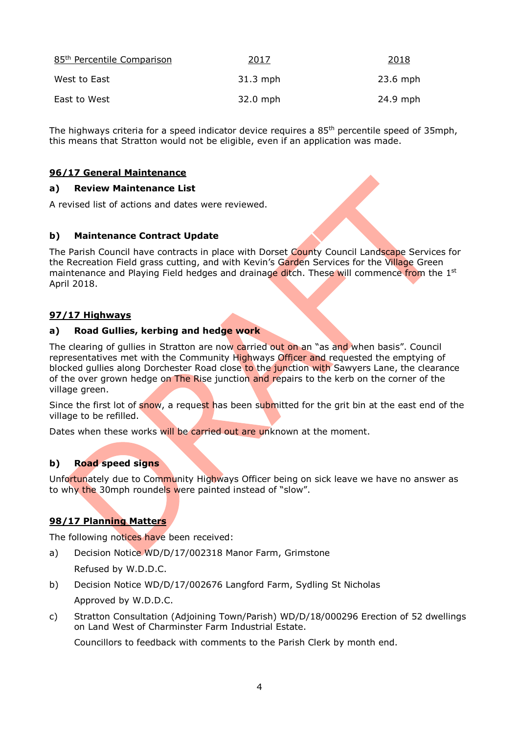| 85 <sup>th</sup> Percentile Comparison | 2017       | 2018       |
|----------------------------------------|------------|------------|
| West to East                           | $31.3$ mph | $23.6$ mph |
| East to West                           | 32.0 mph   | 24.9 mph   |

The highways criteria for a speed indicator device requires a 85<sup>th</sup> percentile speed of 35mph, this means that Stratton would not be eligible, even if an application was made.

#### **96/17 General Maintenance**

#### **a) Review Maintenance List**

A revised list of actions and dates were reviewed.

#### **b) Maintenance Contract Update**

The Parish Council have contracts in place with Dorset County Council Landscape Services for the Recreation Field grass cutting, and with Kevin's Garden Services for the Village Green maintenance and Playing Field hedges and drainage ditch. These will commence from the 1<sup>st</sup> April 2018.

#### **97/17 Highways**

#### **a) Road Gullies, kerbing and hedge work**

The clearing of gullies in Stratton are now carried out on an "as and when basis". Council representatives met with the Community Highways Officer and requested the emptying of blocked gullies along Dorchester Road close to the junction with Sawyers Lane, the clearance of the over grown hedge on The Rise junction and repairs to the kerb on the corner of the village green.

Since the first lot of snow, a request has been submitted for the grit bin at the east end of the village to be refilled.

Dates when these works will be carried out are unknown at the moment.

#### **b) Road speed signs**

Unfortunately due to Community Highways Officer being on sick leave we have no answer as to why the 30mph roundels were painted instead of "slow".

#### **98/17 Planning Matters**

The following notices have been received:

- a) Decision Notice WD/D/17/002318 Manor Farm, Grimstone Refused by W.D.D.C.
- b) Decision Notice WD/D/17/002676 Langford Farm, Sydling St Nicholas Approved by W.D.D.C.
- c) Stratton Consultation (Adjoining Town/Parish) WD/D/18/000296 Erection of 52 dwellings on Land West of Charminster Farm Industrial Estate.

Councillors to feedback with comments to the Parish Clerk by month end.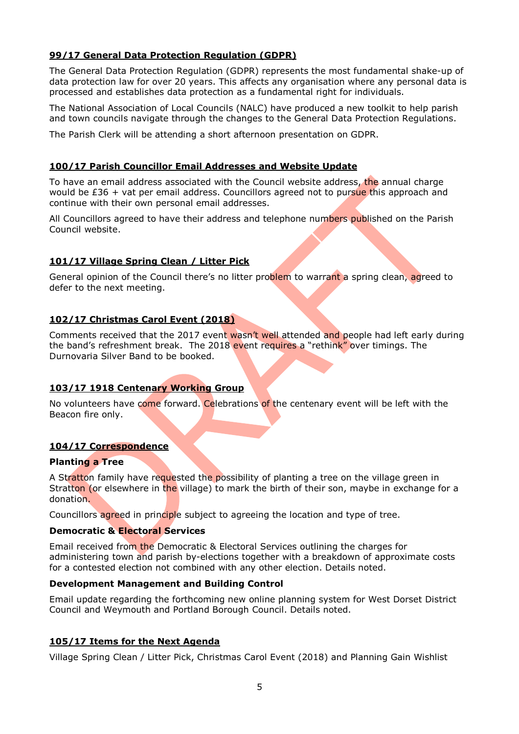## **99/17 General Data Protection Regulation (GDPR)**

The General Data Protection Regulation (GDPR) represents the most fundamental shake-up of data protection law for over 20 years. This affects any organisation where any personal data is processed and establishes data protection as a fundamental right for individuals.

The National Association of Local Councils (NALC) have produced a new toolkit to help parish and town councils navigate through the changes to the General Data Protection Regulations.

The Parish Clerk will be attending a short afternoon presentation on GDPR.

#### **100/17 Parish Councillor Email Addresses and Website Update**

To have an email address associated with the Council website address, the annual charge would be  $£36 + \text{vat per email address.}$  Councillors agreed not to pursue this approach and continue with their own personal email addresses.

All Councillors agreed to have their address and telephone numbers published on the Parish Council website.

#### **101/17 Village Spring Clean / Litter Pick**

General opinion of the Council there's no litter problem to warrant a spring clean, agreed to defer to the next meeting.

#### **102/17 Christmas Carol Event (2018)**

Comments received that the 2017 event wasn't well attended and people had left early during the band's refreshment break. The 2018 event requires a "rethink" over timings. The Durnovaria Silver Band to be booked.

#### **103/17 1918 Centenary Working Group**

No volunteers have come forward. Celebrations of the centenary event will be left with the Beacon fire only.

#### **104/17 Correspondence**

#### **Planting a Tree**

A Stratton family have requested the possibility of planting a tree on the village green in Stratton (or elsewhere in the village) to mark the birth of their son, maybe in exchange for a donation.

Councillors agreed in principle subject to agreeing the location and type of tree.

#### **Democratic & Electoral Services**

Email received from the Democratic & Electoral Services outlining the charges for administering town and parish by-elections together with a breakdown of approximate costs for a contested election not combined with any other election. Details noted.

#### **Development Management and Building Control**

Email update regarding the forthcoming new online planning system for West Dorset District Council and Weymouth and Portland Borough Council. Details noted.

#### **105/17 Items for the Next Agenda**

Village Spring Clean / Litter Pick, Christmas Carol Event (2018) and Planning Gain Wishlist